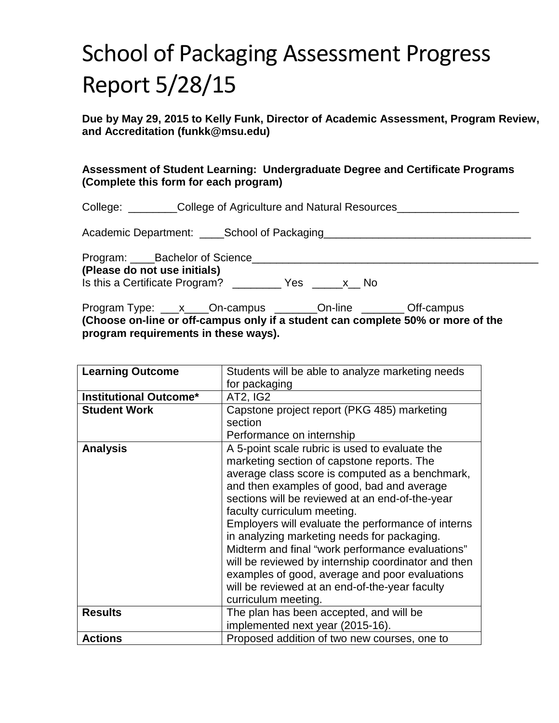# School of Packaging Assessment Progress Report 5/28/15

**Due by May 29, 2015 to Kelly Funk, Director of Academic Assessment, Program Review, and Accreditation (funkk@msu.edu)**

## **Assessment of Student Learning: Undergraduate Degree and Certificate Programs (Complete this form for each program)**

| College: | _College of Agriculture and Natural Resources_ |
|----------|------------------------------------------------|
|----------|------------------------------------------------|

Academic Department: \_\_\_\_School of Packaging\_\_\_\_\_\_\_\_\_\_\_\_\_\_\_\_\_\_\_\_\_\_\_\_\_\_\_\_\_\_\_\_\_\_

| Program: Bachelor of Science   |     |     |  |
|--------------------------------|-----|-----|--|
| (Please do not use initials)   |     |     |  |
| Is this a Certificate Program? | Yes | -No |  |

Program Type: \_\_\_x\_\_\_\_On-campus \_\_\_\_\_\_\_On-line \_\_\_\_\_\_\_\_Off-campus **(Choose on-line or off-campus only if a student can complete 50% or more of the program requirements in these ways).**

| <b>Learning Outcome</b>       | Students will be able to analyze marketing needs    |  |
|-------------------------------|-----------------------------------------------------|--|
|                               | for packaging                                       |  |
| <b>Institutional Outcome*</b> | AT2, IG2                                            |  |
| <b>Student Work</b>           | Capstone project report (PKG 485) marketing         |  |
|                               | section                                             |  |
|                               | Performance on internship                           |  |
| <b>Analysis</b>               | A 5-point scale rubric is used to evaluate the      |  |
|                               | marketing section of capstone reports. The          |  |
|                               | average class score is computed as a benchmark,     |  |
|                               | and then examples of good, bad and average          |  |
|                               | sections will be reviewed at an end-of-the-year     |  |
|                               | faculty curriculum meeting.                         |  |
|                               | Employers will evaluate the performance of interns  |  |
|                               | in analyzing marketing needs for packaging.         |  |
|                               | Midterm and final "work performance evaluations"    |  |
|                               | will be reviewed by internship coordinator and then |  |
|                               | examples of good, average and poor evaluations      |  |
|                               | will be reviewed at an end-of-the-year faculty      |  |
|                               | curriculum meeting.                                 |  |
| <b>Results</b>                | The plan has been accepted, and will be             |  |
|                               | implemented next year (2015-16).                    |  |
| <b>Actions</b>                | Proposed addition of two new courses, one to        |  |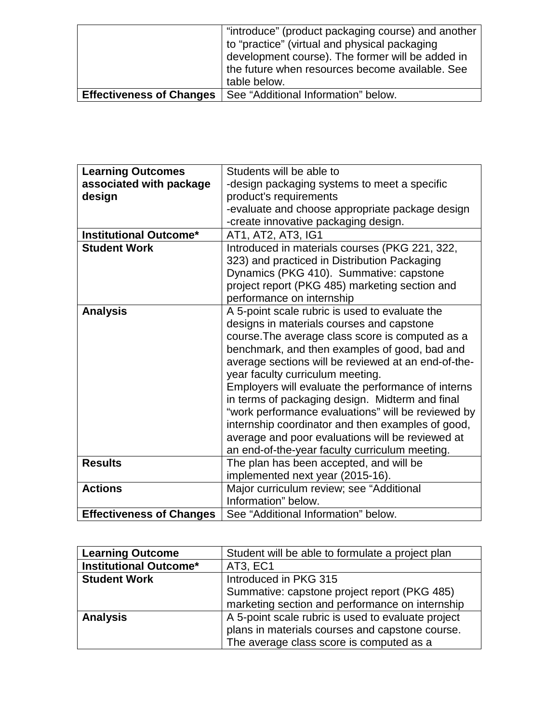|                                 | "introduce" (product packaging course) and another |
|---------------------------------|----------------------------------------------------|
|                                 | to "practice" (virtual and physical packaging      |
|                                 | development course). The former will be added in   |
|                                 | the future when resources become available. See    |
|                                 | table below.                                       |
| <b>Effectiveness of Changes</b> | See "Additional Information" below.                |

| <b>Learning Outcomes</b>        | Students will be able to                            |  |
|---------------------------------|-----------------------------------------------------|--|
| associated with package         |                                                     |  |
|                                 | -design packaging systems to meet a specific        |  |
| design                          | product's requirements                              |  |
|                                 | -evaluate and choose appropriate package design     |  |
|                                 | -create innovative packaging design.                |  |
| <b>Institutional Outcome*</b>   | AT1, AT2, AT3, IG1                                  |  |
| <b>Student Work</b>             | Introduced in materials courses (PKG 221, 322,      |  |
|                                 | 323) and practiced in Distribution Packaging        |  |
|                                 | Dynamics (PKG 410). Summative: capstone             |  |
|                                 | project report (PKG 485) marketing section and      |  |
|                                 | performance on internship                           |  |
| <b>Analysis</b>                 | A 5-point scale rubric is used to evaluate the      |  |
|                                 | designs in materials courses and capstone           |  |
|                                 | course. The average class score is computed as a    |  |
|                                 | benchmark, and then examples of good, bad and       |  |
|                                 | average sections will be reviewed at an end-of-the- |  |
|                                 | year faculty curriculum meeting.                    |  |
|                                 | Employers will evaluate the performance of interns  |  |
|                                 | in terms of packaging design. Midterm and final     |  |
|                                 | "work performance evaluations" will be reviewed by  |  |
|                                 | internship coordinator and then examples of good,   |  |
|                                 | average and poor evaluations will be reviewed at    |  |
|                                 | an end-of-the-year faculty curriculum meeting.      |  |
| <b>Results</b>                  | The plan has been accepted, and will be             |  |
|                                 |                                                     |  |
|                                 | implemented next year (2015-16).                    |  |
| <b>Actions</b>                  | Major curriculum review; see "Additional            |  |
|                                 | Information" below.                                 |  |
| <b>Effectiveness of Changes</b> | See "Additional Information" below.                 |  |

| <b>Learning Outcome</b>       | Student will be able to formulate a project plan   |
|-------------------------------|----------------------------------------------------|
| <b>Institutional Outcome*</b> | <b>AT3, EC1</b>                                    |
| <b>Student Work</b>           | Introduced in PKG 315                              |
|                               | Summative: capstone project report (PKG 485)       |
|                               | marketing section and performance on internship    |
| <b>Analysis</b>               | A 5-point scale rubric is used to evaluate project |
|                               | plans in materials courses and capstone course.    |
|                               | The average class score is computed as a           |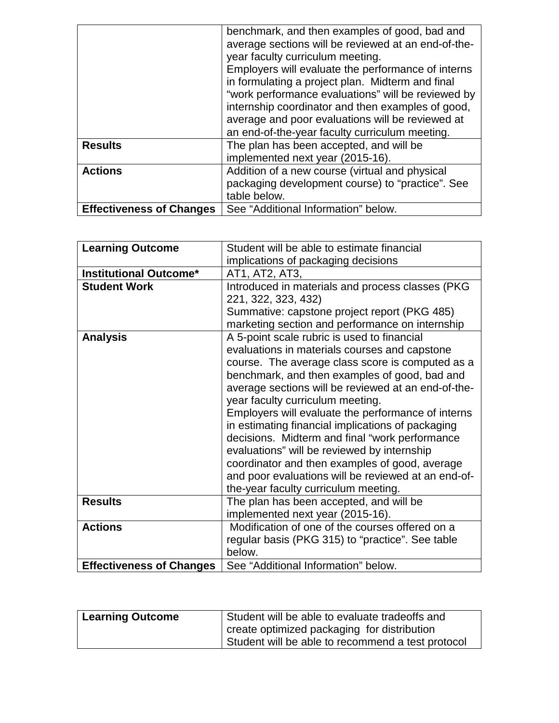|                                 | benchmark, and then examples of good, bad and       |
|---------------------------------|-----------------------------------------------------|
|                                 | average sections will be reviewed at an end-of-the- |
|                                 | year faculty curriculum meeting.                    |
|                                 | Employers will evaluate the performance of interns  |
|                                 | in formulating a project plan. Midterm and final    |
|                                 | "work performance evaluations" will be reviewed by  |
|                                 | internship coordinator and then examples of good,   |
|                                 | average and poor evaluations will be reviewed at    |
|                                 | an end-of-the-year faculty curriculum meeting.      |
| <b>Results</b>                  | The plan has been accepted, and will be             |
|                                 | implemented next year (2015-16).                    |
| <b>Actions</b>                  | Addition of a new course (virtual and physical      |
|                                 | packaging development course) to "practice". See    |
|                                 | table below.                                        |
| <b>Effectiveness of Changes</b> | See "Additional Information" below.                 |

| <b>Learning Outcome</b>         | Student will be able to estimate financial          |  |
|---------------------------------|-----------------------------------------------------|--|
|                                 | implications of packaging decisions                 |  |
| <b>Institutional Outcome*</b>   | AT1, AT2, AT3,                                      |  |
| <b>Student Work</b>             | Introduced in materials and process classes (PKG    |  |
|                                 | 221, 322, 323, 432)                                 |  |
|                                 | Summative: capstone project report (PKG 485)        |  |
|                                 | marketing section and performance on internship     |  |
| <b>Analysis</b>                 | A 5-point scale rubric is used to financial         |  |
|                                 | evaluations in materials courses and capstone       |  |
|                                 | course. The average class score is computed as a    |  |
|                                 | benchmark, and then examples of good, bad and       |  |
|                                 | average sections will be reviewed at an end-of-the- |  |
|                                 | year faculty curriculum meeting.                    |  |
|                                 | Employers will evaluate the performance of interns  |  |
|                                 | in estimating financial implications of packaging   |  |
|                                 | decisions. Midterm and final "work performance      |  |
|                                 | evaluations" will be reviewed by internship         |  |
|                                 | coordinator and then examples of good, average      |  |
|                                 | and poor evaluations will be reviewed at an end-of- |  |
|                                 | the-year faculty curriculum meeting.                |  |
| <b>Results</b>                  | The plan has been accepted, and will be             |  |
|                                 | implemented next year (2015-16).                    |  |
| <b>Actions</b>                  | Modification of one of the courses offered on a     |  |
|                                 | regular basis (PKG 315) to "practice". See table    |  |
|                                 | below.                                              |  |
| <b>Effectiveness of Changes</b> | See "Additional Information" below.                 |  |

| <b>Learning Outcome</b> | Student will be able to evaluate tradeoffs and    |
|-------------------------|---------------------------------------------------|
|                         | create optimized packaging for distribution       |
|                         | Student will be able to recommend a test protocol |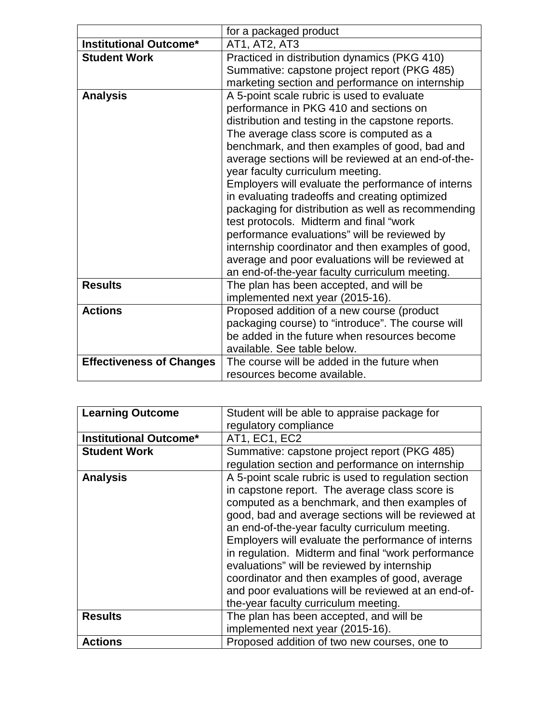|                                 | for a packaged product                              |  |
|---------------------------------|-----------------------------------------------------|--|
| <b>Institutional Outcome*</b>   | AT1, AT2, AT3                                       |  |
| <b>Student Work</b>             | Practiced in distribution dynamics (PKG 410)        |  |
|                                 | Summative: capstone project report (PKG 485)        |  |
|                                 | marketing section and performance on internship     |  |
| <b>Analysis</b>                 | A 5-point scale rubric is used to evaluate          |  |
|                                 | performance in PKG 410 and sections on              |  |
|                                 | distribution and testing in the capstone reports.   |  |
|                                 | The average class score is computed as a            |  |
|                                 | benchmark, and then examples of good, bad and       |  |
|                                 | average sections will be reviewed at an end-of-the- |  |
|                                 | year faculty curriculum meeting.                    |  |
|                                 | Employers will evaluate the performance of interns  |  |
|                                 | in evaluating tradeoffs and creating optimized      |  |
|                                 | packaging for distribution as well as recommending  |  |
|                                 | test protocols. Midterm and final "work             |  |
|                                 | performance evaluations" will be reviewed by        |  |
|                                 | internship coordinator and then examples of good,   |  |
|                                 | average and poor evaluations will be reviewed at    |  |
|                                 | an end-of-the-year faculty curriculum meeting.      |  |
| <b>Results</b>                  | The plan has been accepted, and will be             |  |
|                                 | implemented next year (2015-16).                    |  |
| <b>Actions</b>                  | Proposed addition of a new course (product          |  |
|                                 | packaging course) to "introduce". The course will   |  |
|                                 | be added in the future when resources become        |  |
|                                 | available. See table below.                         |  |
| <b>Effectiveness of Changes</b> | The course will be added in the future when         |  |
|                                 | resources become available.                         |  |

| <b>Learning Outcome</b>       | Student will be able to appraise package for         |  |
|-------------------------------|------------------------------------------------------|--|
|                               | regulatory compliance                                |  |
|                               |                                                      |  |
| <b>Institutional Outcome*</b> | AT1, EC1, EC2                                        |  |
| <b>Student Work</b>           | Summative: capstone project report (PKG 485)         |  |
|                               | regulation section and performance on internship     |  |
| <b>Analysis</b>               | A 5-point scale rubric is used to regulation section |  |
|                               | in capstone report. The average class score is       |  |
|                               | computed as a benchmark, and then examples of        |  |
|                               | good, bad and average sections will be reviewed at   |  |
|                               | an end-of-the-year faculty curriculum meeting.       |  |
|                               | Employers will evaluate the performance of interns   |  |
|                               | in regulation. Midterm and final "work performance   |  |
|                               | evaluations" will be reviewed by internship          |  |
|                               | coordinator and then examples of good, average       |  |
|                               | and poor evaluations will be reviewed at an end-of-  |  |
|                               | the-year faculty curriculum meeting.                 |  |
| <b>Results</b>                | The plan has been accepted, and will be              |  |
|                               | implemented next year (2015-16).                     |  |
| <b>Actions</b>                | Proposed addition of two new courses, one to         |  |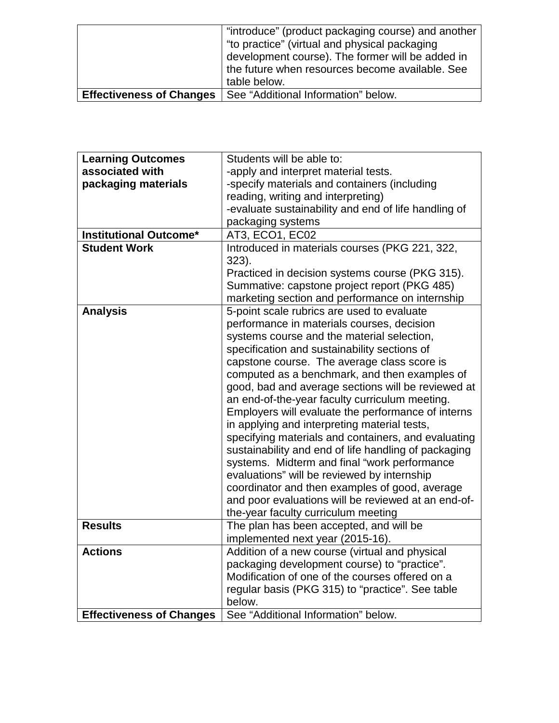|                                 | "introduce" (product packaging course) and another |
|---------------------------------|----------------------------------------------------|
|                                 | "to practice" (virtual and physical packaging      |
|                                 | development course). The former will be added in   |
|                                 | the future when resources become available. See    |
|                                 | table below.                                       |
| <b>Effectiveness of Changes</b> | See "Additional Information" below.                |

| <b>Learning Outcomes</b>        | Students will be able to:                            |
|---------------------------------|------------------------------------------------------|
| associated with                 | -apply and interpret material tests.                 |
| packaging materials             | -specify materials and containers (including         |
|                                 | reading, writing and interpreting)                   |
|                                 | -evaluate sustainability and end of life handling of |
|                                 | packaging systems                                    |
| <b>Institutional Outcome*</b>   | AT3, ECO1, EC02                                      |
| <b>Student Work</b>             | Introduced in materials courses (PKG 221, 322,       |
|                                 | 323).                                                |
|                                 | Practiced in decision systems course (PKG 315).      |
|                                 | Summative: capstone project report (PKG 485)         |
|                                 | marketing section and performance on internship      |
| <b>Analysis</b>                 | 5-point scale rubrics are used to evaluate           |
|                                 | performance in materials courses, decision           |
|                                 | systems course and the material selection,           |
|                                 | specification and sustainability sections of         |
|                                 | capstone course. The average class score is          |
|                                 | computed as a benchmark, and then examples of        |
|                                 | good, bad and average sections will be reviewed at   |
|                                 | an end-of-the-year faculty curriculum meeting.       |
|                                 | Employers will evaluate the performance of interns   |
|                                 | in applying and interpreting material tests,         |
|                                 | specifying materials and containers, and evaluating  |
|                                 | sustainability and end of life handling of packaging |
|                                 | systems. Midterm and final "work performance         |
|                                 | evaluations" will be reviewed by internship          |
|                                 | coordinator and then examples of good, average       |
|                                 | and poor evaluations will be reviewed at an end-of-  |
|                                 | the-year faculty curriculum meeting                  |
| <b>Results</b>                  | The plan has been accepted, and will be              |
|                                 | implemented next year (2015-16).                     |
| <b>Actions</b>                  | Addition of a new course (virtual and physical       |
|                                 | packaging development course) to "practice".         |
|                                 | Modification of one of the courses offered on a      |
|                                 | regular basis (PKG 315) to "practice". See table     |
|                                 | below.                                               |
| <b>Effectiveness of Changes</b> | See "Additional Information" below.                  |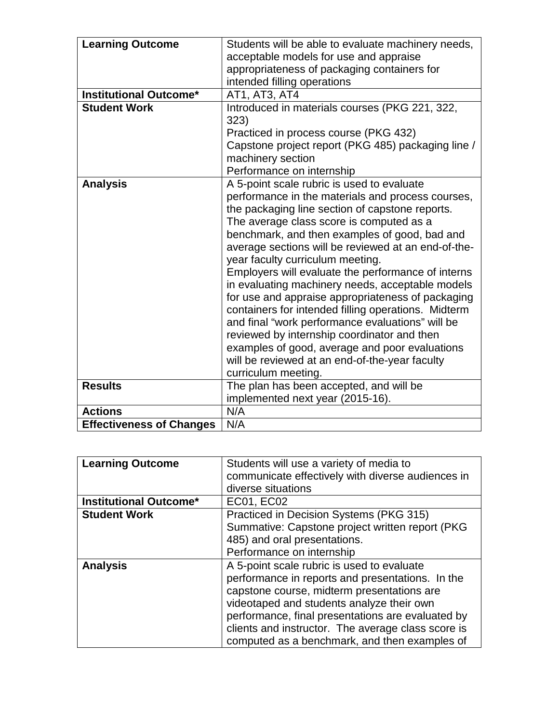| <b>Learning Outcome</b>         | Students will be able to evaluate machinery needs,<br>acceptable models for use and appraise<br>appropriateness of packaging containers for<br>intended filling operations                                                                                                                                                                                                                                                                                                                                                                                                                                                                                                                                                                                                                     |
|---------------------------------|------------------------------------------------------------------------------------------------------------------------------------------------------------------------------------------------------------------------------------------------------------------------------------------------------------------------------------------------------------------------------------------------------------------------------------------------------------------------------------------------------------------------------------------------------------------------------------------------------------------------------------------------------------------------------------------------------------------------------------------------------------------------------------------------|
| <b>Institutional Outcome*</b>   | AT1, AT3, AT4                                                                                                                                                                                                                                                                                                                                                                                                                                                                                                                                                                                                                                                                                                                                                                                  |
| <b>Student Work</b>             | Introduced in materials courses (PKG 221, 322,<br>323)<br>Practiced in process course (PKG 432)<br>Capstone project report (PKG 485) packaging line /<br>machinery section<br>Performance on internship                                                                                                                                                                                                                                                                                                                                                                                                                                                                                                                                                                                        |
| <b>Analysis</b>                 | A 5-point scale rubric is used to evaluate<br>performance in the materials and process courses,<br>the packaging line section of capstone reports.<br>The average class score is computed as a<br>benchmark, and then examples of good, bad and<br>average sections will be reviewed at an end-of-the-<br>year faculty curriculum meeting.<br>Employers will evaluate the performance of interns<br>in evaluating machinery needs, acceptable models<br>for use and appraise appropriateness of packaging<br>containers for intended filling operations. Midterm<br>and final "work performance evaluations" will be<br>reviewed by internship coordinator and then<br>examples of good, average and poor evaluations<br>will be reviewed at an end-of-the-year faculty<br>curriculum meeting. |
| <b>Results</b>                  | The plan has been accepted, and will be<br>implemented next year (2015-16).                                                                                                                                                                                                                                                                                                                                                                                                                                                                                                                                                                                                                                                                                                                    |
| <b>Actions</b>                  | N/A                                                                                                                                                                                                                                                                                                                                                                                                                                                                                                                                                                                                                                                                                                                                                                                            |
| <b>Effectiveness of Changes</b> | N/A                                                                                                                                                                                                                                                                                                                                                                                                                                                                                                                                                                                                                                                                                                                                                                                            |

| <b>Learning Outcome</b>       | Students will use a variety of media to            |
|-------------------------------|----------------------------------------------------|
|                               | communicate effectively with diverse audiences in  |
|                               | diverse situations                                 |
| <b>Institutional Outcome*</b> | <b>EC01, EC02</b>                                  |
| <b>Student Work</b>           | Practiced in Decision Systems (PKG 315)            |
|                               | Summative: Capstone project written report (PKG    |
|                               | 485) and oral presentations.                       |
|                               | Performance on internship                          |
| <b>Analysis</b>               | A 5-point scale rubric is used to evaluate         |
|                               | performance in reports and presentations. In the   |
|                               | capstone course, midterm presentations are         |
|                               | videotaped and students analyze their own          |
|                               | performance, final presentations are evaluated by  |
|                               | clients and instructor. The average class score is |
|                               | computed as a benchmark, and then examples of      |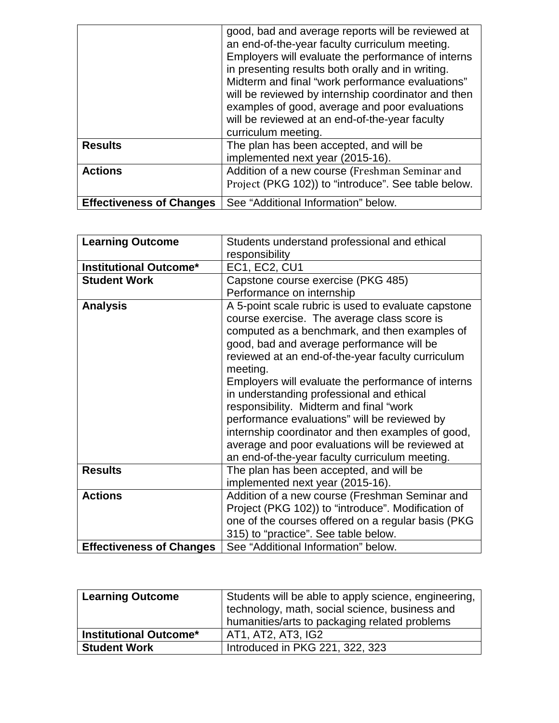|                                 | good, bad and average reports will be reviewed at<br>an end-of-the-year faculty curriculum meeting.<br>Employers will evaluate the performance of interns<br>in presenting results both orally and in writing.<br>Midterm and final "work performance evaluations"<br>will be reviewed by internship coordinator and then<br>examples of good, average and poor evaluations<br>will be reviewed at an end-of-the-year faculty<br>curriculum meeting. |
|---------------------------------|------------------------------------------------------------------------------------------------------------------------------------------------------------------------------------------------------------------------------------------------------------------------------------------------------------------------------------------------------------------------------------------------------------------------------------------------------|
| <b>Results</b>                  | The plan has been accepted, and will be<br>implemented next year (2015-16).                                                                                                                                                                                                                                                                                                                                                                          |
| <b>Actions</b>                  | Addition of a new course (Freshman Seminar and<br>Project (PKG 102)) to "introduce". See table below.                                                                                                                                                                                                                                                                                                                                                |
| <b>Effectiveness of Changes</b> | See "Additional Information" below.                                                                                                                                                                                                                                                                                                                                                                                                                  |

| <b>Learning Outcome</b>         | Students understand professional and ethical        |
|---------------------------------|-----------------------------------------------------|
|                                 | responsibility                                      |
| <b>Institutional Outcome*</b>   | <b>EC1, EC2, CU1</b>                                |
| <b>Student Work</b>             | Capstone course exercise (PKG 485)                  |
|                                 | Performance on internship                           |
| <b>Analysis</b>                 | A 5-point scale rubric is used to evaluate capstone |
|                                 | course exercise. The average class score is         |
|                                 | computed as a benchmark, and then examples of       |
|                                 | good, bad and average performance will be           |
|                                 | reviewed at an end-of-the-year faculty curriculum   |
|                                 | meeting.                                            |
|                                 | Employers will evaluate the performance of interns  |
|                                 | in understanding professional and ethical           |
|                                 | responsibility. Midterm and final "work             |
|                                 | performance evaluations" will be reviewed by        |
|                                 | internship coordinator and then examples of good,   |
|                                 | average and poor evaluations will be reviewed at    |
|                                 | an end-of-the-year faculty curriculum meeting.      |
| <b>Results</b>                  | The plan has been accepted, and will be             |
|                                 | implemented next year (2015-16).                    |
| <b>Actions</b>                  | Addition of a new course (Freshman Seminar and      |
|                                 | Project (PKG 102)) to "introduce". Modification of  |
|                                 | one of the courses offered on a regular basis (PKG  |
|                                 | 315) to "practice". See table below.                |
| <b>Effectiveness of Changes</b> | See "Additional Information" below.                 |

| <b>Learning Outcome</b>       | Students will be able to apply science, engineering,<br>technology, math, social science, business and<br>humanities/arts to packaging related problems |
|-------------------------------|---------------------------------------------------------------------------------------------------------------------------------------------------------|
| <b>Institutional Outcome*</b> | AT1, AT2, AT3, IG2                                                                                                                                      |
| <b>Student Work</b>           | Introduced in PKG 221, 322, 323                                                                                                                         |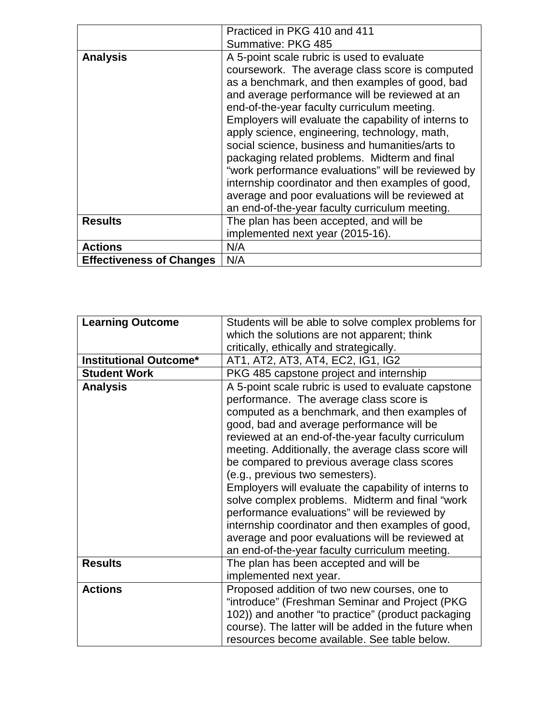|                                 | Practiced in PKG 410 and 411                                                                                                                                                                                                                                                                                                                                                                                                                                                                                                                                                                                                                                                   |
|---------------------------------|--------------------------------------------------------------------------------------------------------------------------------------------------------------------------------------------------------------------------------------------------------------------------------------------------------------------------------------------------------------------------------------------------------------------------------------------------------------------------------------------------------------------------------------------------------------------------------------------------------------------------------------------------------------------------------|
|                                 | Summative: PKG 485                                                                                                                                                                                                                                                                                                                                                                                                                                                                                                                                                                                                                                                             |
| <b>Analysis</b>                 | A 5-point scale rubric is used to evaluate<br>coursework. The average class score is computed<br>as a benchmark, and then examples of good, bad<br>and average performance will be reviewed at an<br>end-of-the-year faculty curriculum meeting.<br>Employers will evaluate the capability of interns to<br>apply science, engineering, technology, math,<br>social science, business and humanities/arts to<br>packaging related problems. Midterm and final<br>"work performance evaluations" will be reviewed by<br>internship coordinator and then examples of good,<br>average and poor evaluations will be reviewed at<br>an end-of-the-year faculty curriculum meeting. |
| <b>Results</b>                  | The plan has been accepted, and will be<br>implemented next year (2015-16).                                                                                                                                                                                                                                                                                                                                                                                                                                                                                                                                                                                                    |
| <b>Actions</b>                  | N/A                                                                                                                                                                                                                                                                                                                                                                                                                                                                                                                                                                                                                                                                            |
| <b>Effectiveness of Changes</b> | N/A                                                                                                                                                                                                                                                                                                                                                                                                                                                                                                                                                                                                                                                                            |

| <b>Learning Outcome</b>       | Students will be able to solve complex problems for  |
|-------------------------------|------------------------------------------------------|
|                               | which the solutions are not apparent; think          |
|                               | critically, ethically and strategically.             |
| <b>Institutional Outcome*</b> | AT1, AT2, AT3, AT4, EC2, IG1, IG2                    |
| <b>Student Work</b>           | PKG 485 capstone project and internship              |
| <b>Analysis</b>               | A 5-point scale rubric is used to evaluate capstone  |
|                               | performance. The average class score is              |
|                               | computed as a benchmark, and then examples of        |
|                               | good, bad and average performance will be            |
|                               | reviewed at an end-of-the-year faculty curriculum    |
|                               | meeting. Additionally, the average class score will  |
|                               | be compared to previous average class scores         |
|                               | (e.g., previous two semesters).                      |
|                               | Employers will evaluate the capability of interns to |
|                               | solve complex problems. Midterm and final "work      |
|                               | performance evaluations" will be reviewed by         |
|                               | internship coordinator and then examples of good,    |
|                               | average and poor evaluations will be reviewed at     |
|                               | an end-of-the-year faculty curriculum meeting.       |
| <b>Results</b>                | The plan has been accepted and will be               |
|                               | implemented next year.                               |
| <b>Actions</b>                | Proposed addition of two new courses, one to         |
|                               | "introduce" (Freshman Seminar and Project (PKG       |
|                               | 102)) and another "to practice" (product packaging   |
|                               | course). The latter will be added in the future when |
|                               | resources become available. See table below.         |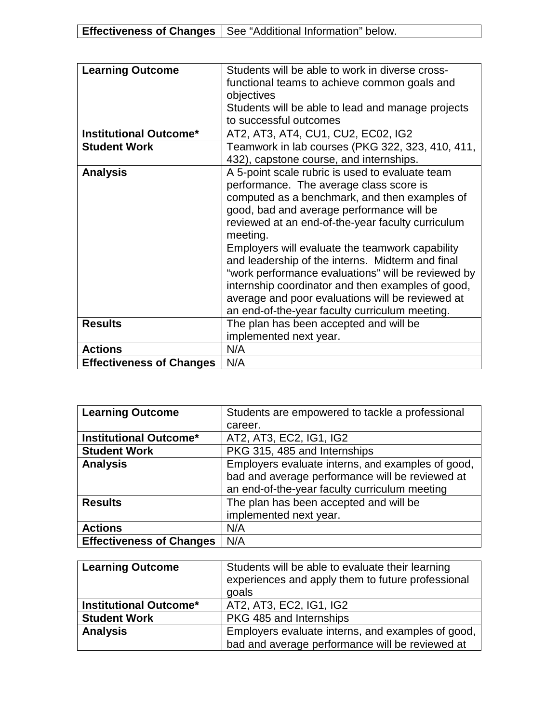| <b>Learning Outcome</b>         | Students will be able to work in diverse cross-    |
|---------------------------------|----------------------------------------------------|
|                                 | functional teams to achieve common goals and       |
|                                 | objectives                                         |
|                                 | Students will be able to lead and manage projects  |
|                                 | to successful outcomes                             |
| <b>Institutional Outcome*</b>   | AT2, AT3, AT4, CU1, CU2, EC02, IG2                 |
| <b>Student Work</b>             | Teamwork in lab courses (PKG 322, 323, 410, 411,   |
|                                 | 432), capstone course, and internships.            |
| <b>Analysis</b>                 | A 5-point scale rubric is used to evaluate team    |
|                                 | performance. The average class score is            |
|                                 | computed as a benchmark, and then examples of      |
|                                 | good, bad and average performance will be          |
|                                 | reviewed at an end-of-the-year faculty curriculum  |
|                                 | meeting.                                           |
|                                 | Employers will evaluate the teamwork capability    |
|                                 | and leadership of the interns. Midterm and final   |
|                                 | "work performance evaluations" will be reviewed by |
|                                 | internship coordinator and then examples of good,  |
|                                 | average and poor evaluations will be reviewed at   |
|                                 | an end-of-the-year faculty curriculum meeting.     |
| <b>Results</b>                  | The plan has been accepted and will be             |
|                                 | implemented next year.                             |
| <b>Actions</b>                  | N/A                                                |
| <b>Effectiveness of Changes</b> | N/A                                                |

| <b>Learning Outcome</b>         | Students are empowered to tackle a professional   |
|---------------------------------|---------------------------------------------------|
|                                 | career.                                           |
| <b>Institutional Outcome*</b>   | AT2, AT3, EC2, IG1, IG2                           |
| <b>Student Work</b>             | PKG 315, 485 and Internships                      |
| <b>Analysis</b>                 | Employers evaluate interns, and examples of good, |
|                                 | bad and average performance will be reviewed at   |
|                                 | an end-of-the-year faculty curriculum meeting     |
| <b>Results</b>                  | The plan has been accepted and will be            |
|                                 | implemented next year.                            |
| <b>Actions</b>                  | N/A                                               |
| <b>Effectiveness of Changes</b> | N/A                                               |

| <b>Learning Outcome</b>       | Students will be able to evaluate their learning<br>experiences and apply them to future professional<br>goals |
|-------------------------------|----------------------------------------------------------------------------------------------------------------|
| <b>Institutional Outcome*</b> | AT2, AT3, EC2, IG1, IG2                                                                                        |
| <b>Student Work</b>           | PKG 485 and Internships                                                                                        |
| <b>Analysis</b>               | Employers evaluate interns, and examples of good,                                                              |
|                               | bad and average performance will be reviewed at                                                                |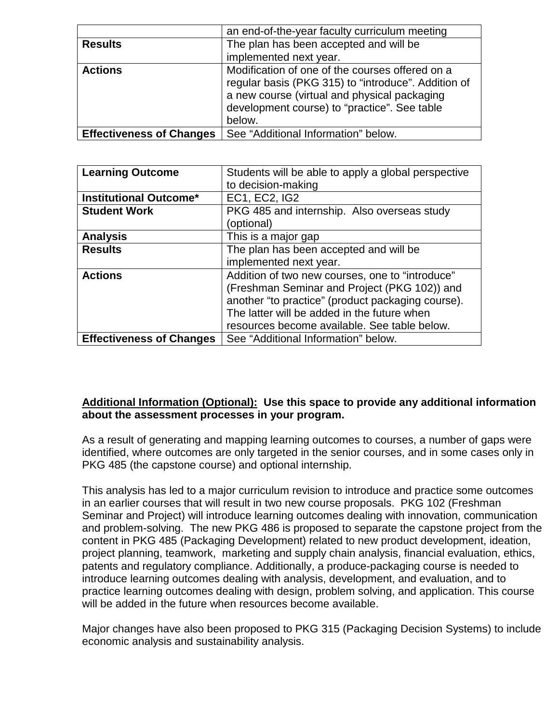|                                 | an end-of-the-year faculty curriculum meeting                                                                                                                                                                    |
|---------------------------------|------------------------------------------------------------------------------------------------------------------------------------------------------------------------------------------------------------------|
| <b>Results</b>                  | The plan has been accepted and will be                                                                                                                                                                           |
|                                 | implemented next year.                                                                                                                                                                                           |
| <b>Actions</b>                  | Modification of one of the courses offered on a<br>regular basis (PKG 315) to "introduce". Addition of<br>a new course (virtual and physical packaging<br>development course) to "practice". See table<br>below. |
| <b>Effectiveness of Changes</b> | See "Additional Information" below.                                                                                                                                                                              |

| <b>Learning Outcome</b>         | Students will be able to apply a global perspective |  |  |
|---------------------------------|-----------------------------------------------------|--|--|
|                                 | to decision-making                                  |  |  |
| <b>Institutional Outcome*</b>   | <b>EC1, EC2, IG2</b>                                |  |  |
| <b>Student Work</b>             | PKG 485 and internship. Also overseas study         |  |  |
|                                 | (optional)                                          |  |  |
| <b>Analysis</b>                 | This is a major gap                                 |  |  |
| <b>Results</b>                  | The plan has been accepted and will be              |  |  |
|                                 | implemented next year.                              |  |  |
| <b>Actions</b>                  | Addition of two new courses, one to "introduce"     |  |  |
|                                 | (Freshman Seminar and Project (PKG 102)) and        |  |  |
|                                 | another "to practice" (product packaging course).   |  |  |
|                                 | The latter will be added in the future when         |  |  |
|                                 | resources become available. See table below.        |  |  |
| <b>Effectiveness of Changes</b> | See "Additional Information" below.                 |  |  |

# **Additional Information (Optional): Use this space to provide any additional information about the assessment processes in your program.**

As a result of generating and mapping learning outcomes to courses, a number of gaps were identified, where outcomes are only targeted in the senior courses, and in some cases only in PKG 485 (the capstone course) and optional internship.

This analysis has led to a major curriculum revision to introduce and practice some outcomes in an earlier courses that will result in two new course proposals. PKG 102 (Freshman Seminar and Project) will introduce learning outcomes dealing with innovation, communication and problem-solving. The new PKG 486 is proposed to separate the capstone project from the content in PKG 485 (Packaging Development) related to new product development, ideation, project planning, teamwork, marketing and supply chain analysis, financial evaluation, ethics, patents and regulatory compliance. Additionally, a produce-packaging course is needed to introduce learning outcomes dealing with analysis, development, and evaluation, and to practice learning outcomes dealing with design, problem solving, and application. This course will be added in the future when resources become available.

Major changes have also been proposed to PKG 315 (Packaging Decision Systems) to include economic analysis and sustainability analysis.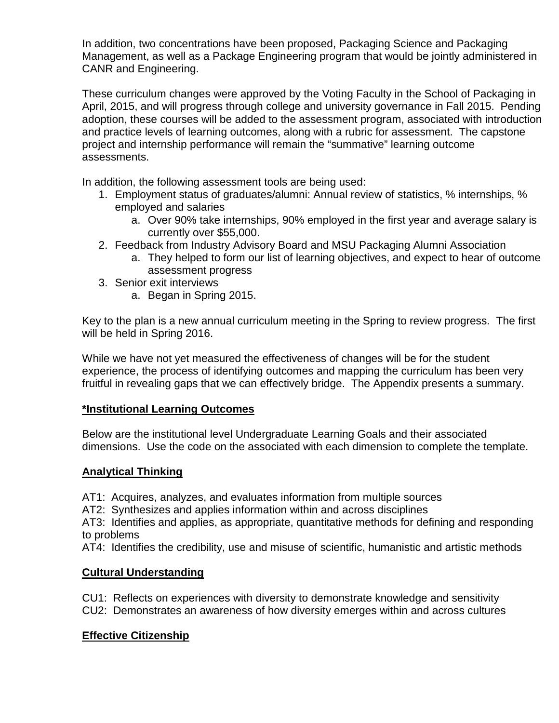In addition, two concentrations have been proposed, Packaging Science and Packaging Management, as well as a Package Engineering program that would be jointly administered in CANR and Engineering.

These curriculum changes were approved by the Voting Faculty in the School of Packaging in April, 2015, and will progress through college and university governance in Fall 2015. Pending adoption, these courses will be added to the assessment program, associated with introduction and practice levels of learning outcomes, along with a rubric for assessment. The capstone project and internship performance will remain the "summative" learning outcome assessments.

In addition, the following assessment tools are being used:

- 1. Employment status of graduates/alumni: Annual review of statistics, % internships, % employed and salaries
	- a. Over 90% take internships, 90% employed in the first year and average salary is currently over \$55,000.
- 2. Feedback from Industry Advisory Board and MSU Packaging Alumni Association
	- a. They helped to form our list of learning objectives, and expect to hear of outcome assessment progress
- 3. Senior exit interviews
	- a. Began in Spring 2015.

Key to the plan is a new annual curriculum meeting in the Spring to review progress. The first will be held in Spring 2016.

While we have not yet measured the effectiveness of changes will be for the student experience, the process of identifying outcomes and mapping the curriculum has been very fruitful in revealing gaps that we can effectively bridge. The Appendix presents a summary.

# **\*Institutional Learning Outcomes**

Below are the institutional level Undergraduate Learning Goals and their associated dimensions. Use the code on the associated with each dimension to complete the template.

## **Analytical Thinking**

- AT1: Acquires, analyzes, and evaluates information from multiple sources
- AT2: Synthesizes and applies information within and across disciplines

AT3: Identifies and applies, as appropriate, quantitative methods for defining and responding to problems

AT4: Identifies the credibility, use and misuse of scientific, humanistic and artistic methods

## **Cultural Understanding**

CU1: Reflects on experiences with diversity to demonstrate knowledge and sensitivity CU2: Demonstrates an awareness of how diversity emerges within and across cultures

# **Effective Citizenship**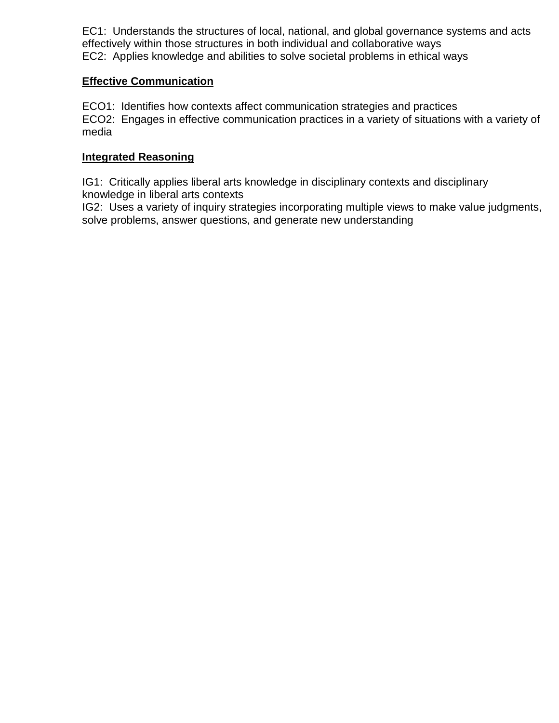EC1: Understands the structures of local, national, and global governance systems and acts effectively within those structures in both individual and collaborative ways EC2: Applies knowledge and abilities to solve societal problems in ethical ways

## **Effective Communication**

ECO1: Identifies how contexts affect communication strategies and practices ECO2: Engages in effective communication practices in a variety of situations with a variety of media

# **Integrated Reasoning**

IG1: Critically applies liberal arts knowledge in disciplinary contexts and disciplinary knowledge in liberal arts contexts

IG2: Uses a variety of inquiry strategies incorporating multiple views to make value judgments, solve problems, answer questions, and generate new understanding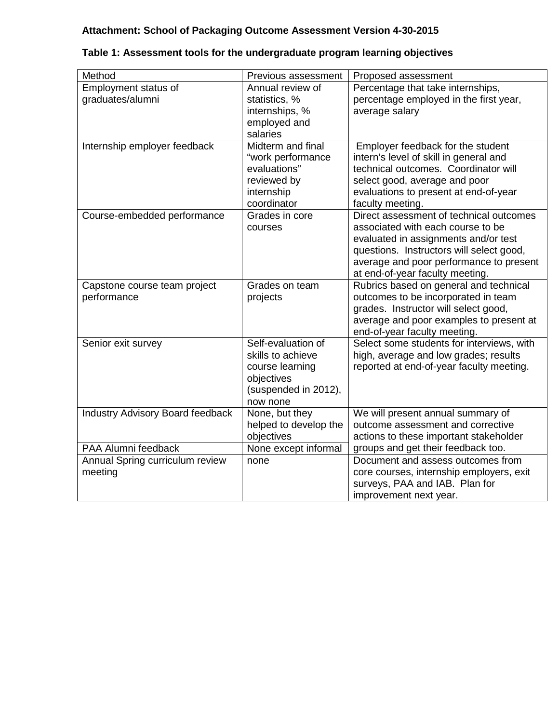# **Attachment: School of Packaging Outcome Assessment Version 4-30-2015**

| Method                                                            | Previous assessment                                                                                          | Proposed assessment                                                                                                                                                                                                                            |  |  |  |
|-------------------------------------------------------------------|--------------------------------------------------------------------------------------------------------------|------------------------------------------------------------------------------------------------------------------------------------------------------------------------------------------------------------------------------------------------|--|--|--|
| Employment status of<br>graduates/alumni                          | Annual review of<br>statistics, %<br>internships, %<br>employed and<br>salaries                              | Percentage that take internships,<br>percentage employed in the first year,<br>average salary                                                                                                                                                  |  |  |  |
| Internship employer feedback                                      | Midterm and final<br>"work performance<br>evaluations"<br>reviewed by<br>internship<br>coordinator           | Employer feedback for the student<br>intern's level of skill in general and<br>technical outcomes. Coordinator will<br>select good, average and poor<br>evaluations to present at end-of-year<br>faculty meeting.                              |  |  |  |
| Course-embedded performance                                       | Grades in core<br>courses                                                                                    | Direct assessment of technical outcomes<br>associated with each course to be<br>evaluated in assignments and/or test<br>questions. Instructors will select good,<br>average and poor performance to present<br>at end-of-year faculty meeting. |  |  |  |
| Capstone course team project<br>performance                       | Grades on team<br>projects                                                                                   | Rubrics based on general and technical<br>outcomes to be incorporated in team<br>grades. Instructor will select good,<br>average and poor examples to present at<br>end-of-year faculty meeting.                                               |  |  |  |
| Senior exit survey                                                | Self-evaluation of<br>skills to achieve<br>course learning<br>objectives<br>(suspended in 2012),<br>now none | Select some students for interviews, with<br>high, average and low grades; results<br>reported at end-of-year faculty meeting.                                                                                                                 |  |  |  |
| Industry Advisory Board feedback                                  | None, but they<br>helped to develop the<br>objectives                                                        | We will present annual summary of<br>outcome assessment and corrective<br>actions to these important stakeholder                                                                                                                               |  |  |  |
| PAA Alumni feedback<br>Annual Spring curriculum review<br>meeting | None except informal<br>none                                                                                 | groups and get their feedback too.<br>Document and assess outcomes from<br>core courses, internship employers, exit<br>surveys, PAA and IAB. Plan for<br>improvement next year.                                                                |  |  |  |

# **Table 1: Assessment tools for the undergraduate program learning objectives**